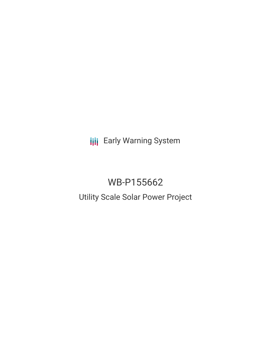**III** Early Warning System

# WB-P155662

## Utility Scale Solar Power Project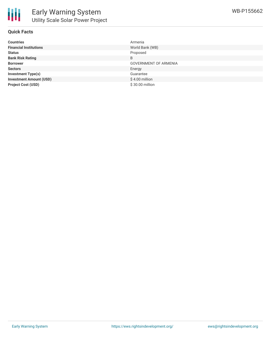

#### **Quick Facts**

| <b>Countries</b>               | Armenia                      |
|--------------------------------|------------------------------|
| <b>Financial Institutions</b>  | World Bank (WB)              |
| <b>Status</b>                  | Proposed                     |
| <b>Bank Risk Rating</b>        | B                            |
| <b>Borrower</b>                | <b>GOVERNMENT OF ARMENIA</b> |
| <b>Sectors</b>                 | Energy                       |
| <b>Investment Type(s)</b>      | Guarantee                    |
| <b>Investment Amount (USD)</b> | \$4.00 million               |
| <b>Project Cost (USD)</b>      | \$30.00 million              |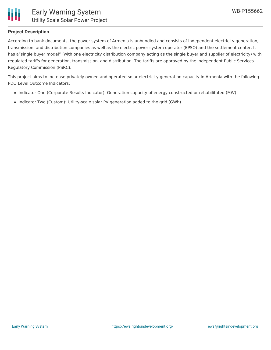#### **Project Description**

According to bank documents, the power system of Armenia is unbundled and consists of independent electricity generation, transmission, and distribution companies as well as the electric power system operator (EPSO) and the settlement center. It has a"single buyer model" (with one electricity distribution company acting as the single buyer and supplier of electricity) with regulated tariffs for generation, transmission, and distribution. The tariffs are approved by the independent Public Services Regulatory Commission (PSRC).

This project aims to increase privately owned and operated solar electricity generation capacity in Armenia with the following PDO Level Outcome Indicators:

- Indicator One (Corporate Results Indicator): Generation capacity of energy constructed or rehabilitated (MW).
- Indicator Two (Custom): Utility-scale solar PV generation added to the grid (GWh).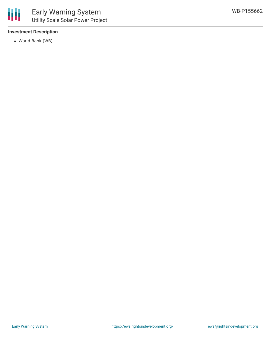#### **Investment Description**

World Bank (WB)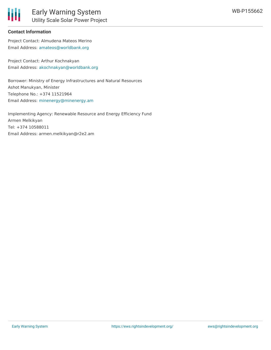### **Contact Information**

Project Contact: Almudena Mateos Merino Email Address: [amateos@worldbank.org](mailto:amateos@worldbank.org)

Project Contact: Arthur Kochnakyan Email Address: [akochnakyan@worldbank.org](mailto:akochnakyan@worldbank.org)

Borrower: Ministry of Energy Infrastructures and Natural Resources Ashot Manukyan, Minister Telephone No.: +374 11521964 Email Address: [minenergy@minenergy.am](mailto:minenergy@minenergy.am)

Implementing Agency: Renewable Resource and Energy Efficiency Fund Armen Melkikyan Tel: +374 10588011 Email Address: armen.melkikyan@r2e2.am